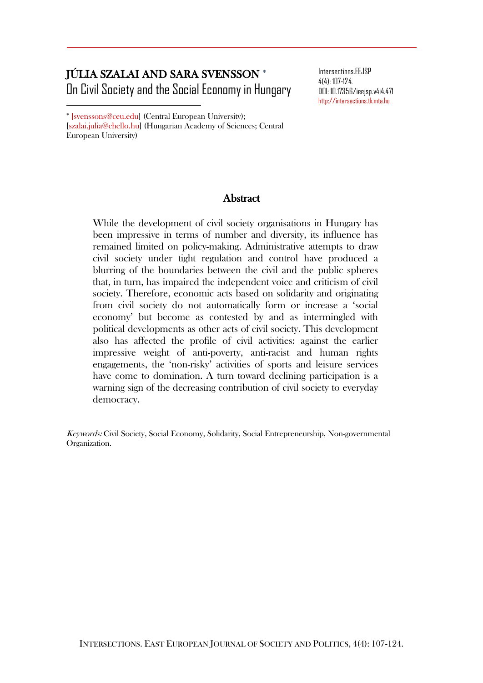# JÚLIA SZALAI AND SARA SVENSSON On Civil Society and the Social Economy in Hungary

DOI: 10.17356/ieejsp.v4i4.471 [http://intersections.tk.mta.hu](http://intersections.tk.mta.hu/)

Intersections.EEJSP 4(4): 107-124.

 [svenssons@ceu.edu] (Central European University); [szalai.julia@chello.hu] (Hungarian Academy of Sciences; Central European University)

 $\overline{\phantom{a}}$ 

## Abstract

While the development of civil society organisations in Hungary has been impressive in terms of number and diversity, its influence has remained limited on policy-making. Administrative attempts to draw civil society under tight regulation and control have produced a blurring of the boundaries between the civil and the public spheres that, in turn, has impaired the independent voice and criticism of civil society. Therefore, economic acts based on solidarity and originating from civil society do not automatically form or increase a 'social economy' but become as contested by and as intermingled with political developments as other acts of civil society. This development also has affected the profile of civil activities: against the earlier impressive weight of anti-poverty, anti-racist and human rights engagements, the 'non-risky' activities of sports and leisure services have come to domination. A turn toward declining participation is a warning sign of the decreasing contribution of civil society to everyday democracy.

Keywords: Civil Society, Social Economy, Solidarity, Social Entrepreneurship, Non-governmental Organization.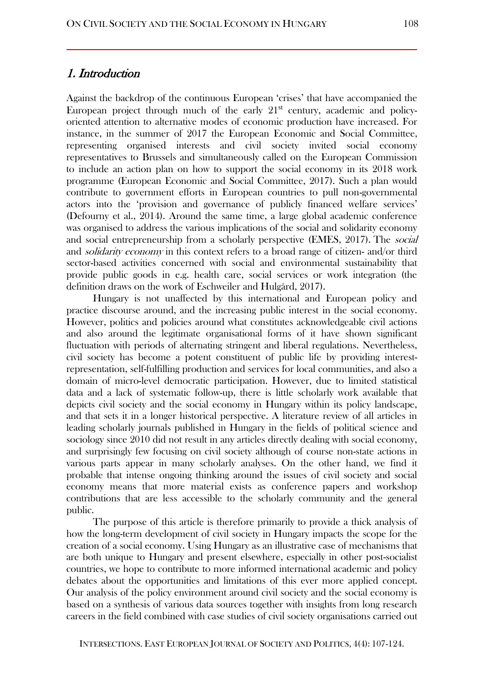## 1. Introduction

Against the backdrop of the continuous European 'crises' that have accompanied the European project through much of the early  $21<sup>st</sup>$  century, academic and policyoriented attention to alternative modes of economic production have increased. For instance, in the summer of 2017 the European Economic and Social Committee, representing organised interests and civil society invited social economy representatives to Brussels and simultaneously called on the European Commission to include an action plan on how to support the social economy in its 2018 work programme (European Economic and Social Committee, 2017). Such a plan would contribute to government efforts in European countries to pull non-governmental actors into the 'provision and governance of publicly financed welfare services' (Defourny et al., 2014). Around the same time, a large global academic conference was organised to address the various implications of the social and solidarity economy and social entrepreneurship from a scholarly perspective (EMES, 2017). The social and *solidarity economy* in this context refers to a broad range of citizen- and/or third sector-based activities concerned with social and environmental sustainability that provide public goods in e.g. health care, social services or work integration (the definition draws on the work of Eschweiler and Hulgård, 2017).

Hungary is not unaffected by this international and European policy and practice discourse around, and the increasing public interest in the social economy. However, politics and policies around what constitutes acknowledgeable civil actions and also around the legitimate organisational forms of it have shown significant fluctuation with periods of alternating stringent and liberal regulations. Nevertheless, civil society has become a potent constituent of public life by providing interestrepresentation, self-fulfilling production and services for local communities, and also a domain of micro-level democratic participation. However, due to limited statistical data and a lack of systematic follow-up, there is little scholarly work available that depicts civil society and the social economy in Hungary within its policy landscape, and that sets it in a longer historical perspective. A literature review of all articles in leading scholarly journals published in Hungary in the fields of political science and sociology since 2010 did not result in any articles directly dealing with social economy, and surprisingly few focusing on civil society although of course non-state actions in various parts appear in many scholarly analyses. On the other hand, we find it probable that intense ongoing thinking around the issues of civil society and social economy means that more material exists as conference papers and workshop contributions that are less accessible to the scholarly community and the general public.

The purpose of this article is therefore primarily to provide a thick analysis of how the long-term development of civil society in Hungary impacts the scope for the creation of a social economy. Using Hungary as an illustrative case of mechanisms that are both unique to Hungary and present elsewhere, especially in other post-socialist countries, we hope to contribute to more informed international academic and policy debates about the opportunities and limitations of this ever more applied concept. Our analysis of the policy environment around civil society and the social economy is based on a synthesis of various data sources together with insights from long research careers in the field combined with case studies of civil society organisations carried out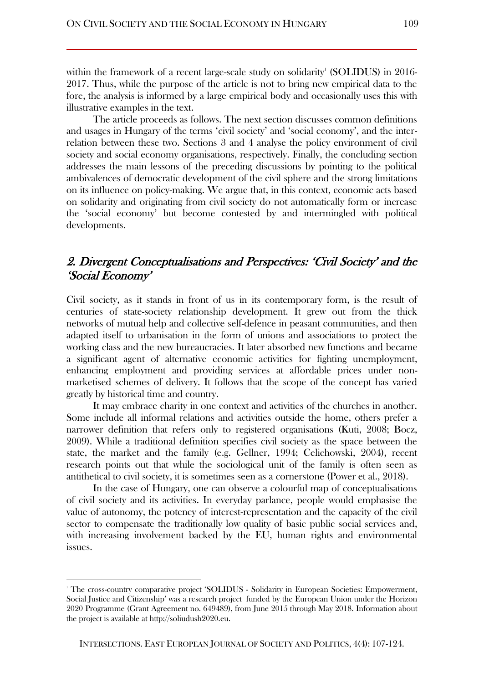within the framework of a recent large-scale study on solidarity' ( $\rm SOLIDUS$ ) in  $2016$ -2017. Thus, while the purpose of the article is not to bring new empirical data to the fore, the analysis is informed by a large empirical body and occasionally uses this with illustrative examples in the text.

The article proceeds as follows. The next section discusses common definitions and usages in Hungary of the terms 'civil society' and 'social economy', and the interrelation between these two. Sections 3 and 4 analyse the policy environment of civil society and social economy organisations, respectively. Finally, the concluding section addresses the main lessons of the preceding discussions by pointing to the political ambivalences of democratic development of the civil sphere and the strong limitations on its influence on policy-making. We argue that, in this context, economic acts based on solidarity and originating from civil society do not automatically form or increase the 'social economy' but become contested by and intermingled with political developments.

# 2. Divergent Conceptualisations and Perspectives: 'Civil Society' and the 'Social Economy'

Civil society, as it stands in front of us in its contemporary form, is the result of centuries of state-society relationship development. It grew out from the thick networks of mutual help and collective self-defence in peasant communities, and then adapted itself to urbanisation in the form of unions and associations to protect the working class and the new bureaucracies. It later absorbed new functions and became a significant agent of alternative economic activities for fighting unemployment, enhancing employment and providing services at affordable prices under nonmarketised schemes of delivery. It follows that the scope of the concept has varied greatly by historical time and country.

It may embrace charity in one context and activities of the churches in another. Some include all informal relations and activities outside the home, others prefer a narrower definition that refers only to registered organisations (Kuti, 2008; Bocz, 2009). While a traditional definition specifies civil society as the space between the state, the market and the family (e.g. Gellner, 1994; Celichowski, 2004), recent research points out that while the sociological unit of the family is often seen as antithetical to civil society, it is sometimes seen as a cornerstone (Power et al., 2018).

In the case of Hungary, one can observe a colourful map of conceptualisations of civil society and its activities. In everyday parlance, people would emphasise the value of autonomy, the potency of interest-representation and the capacity of the civil sector to compensate the traditionally low quality of basic public social services and, with increasing involvement backed by the EU, human rights and environmental issues.

 $\overline{\phantom{a}}$ 

<sup>1</sup> The cross-country comparative project 'SOLIDUS - Solidarity in European Societies: Empowerment, Social Justice and Citizenship' was a research project funded by the European Union under the Horizon 2020 Programme (Grant Agreement no. 649489), from June 2015 through May 2018. Information about the project is available a[t http://soliudush2020.eu.](http://soliudush2020.eu/)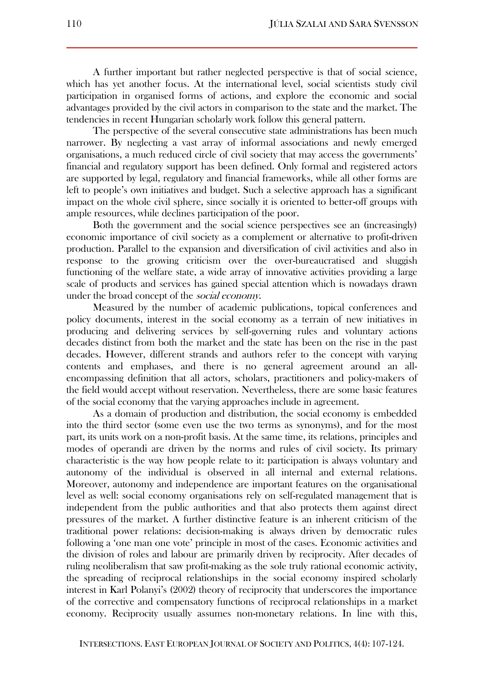A further important but rather neglected perspective is that of social science, which has yet another focus. At the international level, social scientists study civil participation in organised forms of actions, and explore the economic and social advantages provided by the civil actors in comparison to the state and the market. The tendencies in recent Hungarian scholarly work follow this general pattern.

The perspective of the several consecutive state administrations has been much narrower. By neglecting a vast array of informal associations and newly emerged organisations, a much reduced circle of civil society that may access the governments' financial and regulatory support has been defined. Only formal and registered actors are supported by legal, regulatory and financial frameworks, while all other forms are left to people's own initiatives and budget. Such a selective approach has a significant impact on the whole civil sphere, since socially it is oriented to better-off groups with ample resources, while declines participation of the poor.

Both the government and the social science perspectives see an (increasingly) economic importance of civil society as a complement or alternative to profit-driven production. Parallel to the expansion and diversification of civil activities and also in response to the growing criticism over the over-bureaucratised and sluggish functioning of the welfare state, a wide array of innovative activities providing a large scale of products and services has gained special attention which is nowadays drawn under the broad concept of the *social economy*.

Measured by the number of academic publications, topical conferences and policy documents, interest in the social economy as a terrain of new initiatives in producing and delivering services by self-governing rules and voluntary actions decades distinct from both the market and the state has been on the rise in the past decades. However, different strands and authors refer to the concept with varying contents and emphases, and there is no general agreement around an allencompassing definition that all actors, scholars, practitioners and policy-makers of the field would accept without reservation. Nevertheless, there are some basic features of the social economy that the varying approaches include in agreement.

As a domain of production and distribution, the social economy is embedded into the third sector (some even use the two terms as synonyms), and for the most part, its units work on a non-profit basis. At the same time, its relations, principles and modes of operandi are driven by the norms and rules of civil society. Its primary characteristic is the way how people relate to it: participation is always voluntary and autonomy of the individual is observed in all internal and external relations. Moreover, autonomy and independence are important features on the organisational level as well: social economy organisations rely on self-regulated management that is independent from the public authorities and that also protects them against direct pressures of the market. A further distinctive feature is an inherent criticism of the traditional power relations: decision-making is always driven by democratic rules following a 'one man one vote' principle in most of the cases. Economic activities and the division of roles and labour are primarily driven by reciprocity. After decades of ruling neoliberalism that saw profit-making as the sole truly rational economic activity, the spreading of reciprocal relationships in the social economy inspired scholarly interest in Karl Polanyi's (2002) theory of reciprocity that underscores the importance of the corrective and compensatory functions of reciprocal relationships in a market economy. Reciprocity usually assumes non-monetary relations. In line with this,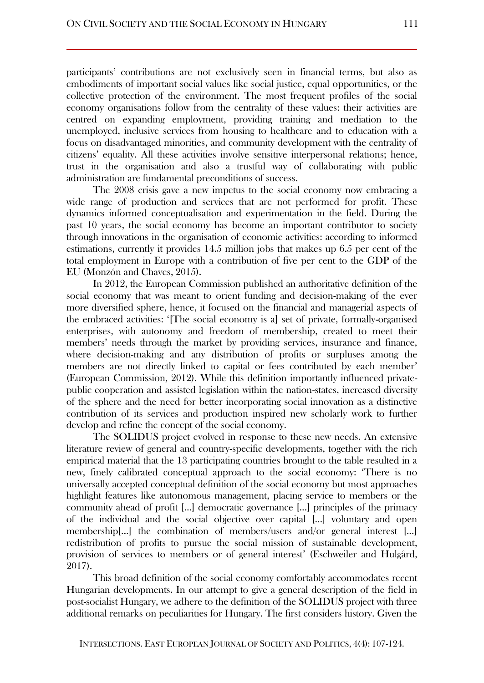participants' contributions are not exclusively seen in financial terms, but also as embodiments of important social values like social justice, equal opportunities, or the collective protection of the environment. The most frequent profiles of the social economy organisations follow from the centrality of these values: their activities are centred on expanding employment, providing training and mediation to the unemployed, inclusive services from housing to healthcare and to education with a focus on disadvantaged minorities, and community development with the centrality of citizens' equality. All these activities involve sensitive interpersonal relations; hence, trust in the organisation and also a trustful way of collaborating with public administration are fundamental preconditions of success.

The 2008 crisis gave a new impetus to the social economy now embracing a wide range of production and services that are not performed for profit. These dynamics informed conceptualisation and experimentation in the field. During the past 10 years, the social economy has become an important contributor to society through innovations in the organisation of economic activities: according to informed estimations, currently it provides 14.5 million jobs that makes up 6.5 per cent of the total employment in Europe with a contribution of five per cent to the GDP of the EU (Monzón and Chaves, 2015).

In 2012, the European Commission published an authoritative definition of the social economy that was meant to orient funding and decision-making of the ever more diversified sphere, hence, it focused on the financial and managerial aspects of the embraced activities: '[The social economy is a] set of private, formally-organised enterprises, with autonomy and freedom of membership, created to meet their members' needs through the market by providing services, insurance and finance, where decision-making and any distribution of profits or surpluses among the members are not directly linked to capital or fees contributed by each member' (European Commission, 2012). While this definition importantly influenced privatepublic cooperation and assisted legislation within the nation-states, increased diversity of the sphere and the need for better incorporating social innovation as a distinctive contribution of its services and production inspired new scholarly work to further develop and refine the concept of the social economy.

The SOLIDUS project evolved in response to these new needs. An extensive literature review of general and country-specific developments, together with the rich empirical material that the 13 participating countries brought to the table resulted in a new, finely calibrated conceptual approach to the social economy: 'There is no universally accepted conceptual definition of the social economy but most approaches highlight features like autonomous management, placing service to members or the community ahead of profit […] democratic governance […] principles of the primacy of the individual and the social objective over capital […] voluntary and open membership[…] the combination of members/users and/or general interest […] redistribution of profits to pursue the social mission of sustainable development, provision of services to members or of general interest' (Eschweiler and Hulgård, 2017).

This broad definition of the social economy comfortably accommodates recent Hungarian developments. In our attempt to give a general description of the field in post-socialist Hungary, we adhere to the definition of the SOLIDUS project with three additional remarks on peculiarities for Hungary. The first considers history. Given the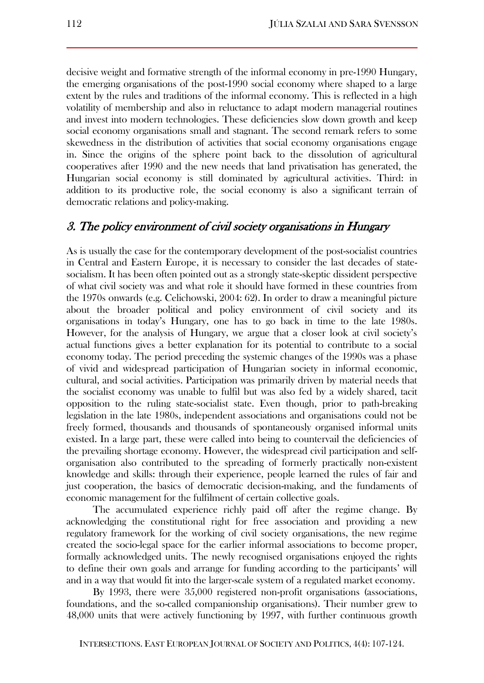decisive weight and formative strength of the informal economy in pre-1990 Hungary, the emerging organisations of the post-1990 social economy where shaped to a large extent by the rules and traditions of the informal economy. This is reflected in a high volatility of membership and also in reluctance to adapt modern managerial routines and invest into modern technologies. These deficiencies slow down growth and keep social economy organisations small and stagnant. The second remark refers to some skewedness in the distribution of activities that social economy organisations engage in. Since the origins of the sphere point back to the dissolution of agricultural cooperatives after 1990 and the new needs that land privatisation has generated, the Hungarian social economy is still dominated by agricultural activities. Third: in addition to its productive role, the social economy is also a significant terrain of democratic relations and policy-making.

## 3. The policy environment of civil society organisations in Hungary

As is usually the case for the contemporary development of the post-socialist countries in Central and Eastern Europe, it is necessary to consider the last decades of statesocialism. It has been often pointed out as a strongly state-skeptic dissident perspective of what civil society was and what role it should have formed in these countries from the 1970s onwards (e.g. Celichowski, 2004: 62). In order to draw a meaningful picture about the broader political and policy environment of civil society and its organisations in today's Hungary, one has to go back in time to the late 1980s. However, for the analysis of Hungary, we argue that a closer look at civil society's actual functions gives a better explanation for its potential to contribute to a social economy today. The period preceding the systemic changes of the 1990s was a phase of vivid and widespread participation of Hungarian society in informal economic, cultural, and social activities. Participation was primarily driven by material needs that the socialist economy was unable to fulfil but was also fed by a widely shared, tacit opposition to the ruling state-socialist state. Even though, prior to path-breaking legislation in the late 1980s, independent associations and organisations could not be freely formed, thousands and thousands of spontaneously organised informal units existed. In a large part, these were called into being to countervail the deficiencies of the prevailing shortage economy. However, the widespread civil participation and selforganisation also contributed to the spreading of formerly practically non-existent knowledge and skills: through their experience, people learned the rules of fair and just cooperation, the basics of democratic decision-making, and the fundaments of economic management for the fulfilment of certain collective goals.

The accumulated experience richly paid off after the regime change. By acknowledging the constitutional right for free association and providing a new regulatory framework for the working of civil society organisations, the new regime created the socio-legal space for the earlier informal associations to become proper, formally acknowledged units. The newly recognised organisations enjoyed the rights to define their own goals and arrange for funding according to the participants' will and in a way that would fit into the larger-scale system of a regulated market economy.

By 1993, there were 35,000 registered non-profit organisations (associations, foundations, and the so-called companionship organisations). Their number grew to 48,000 units that were actively functioning by 1997, with further continuous growth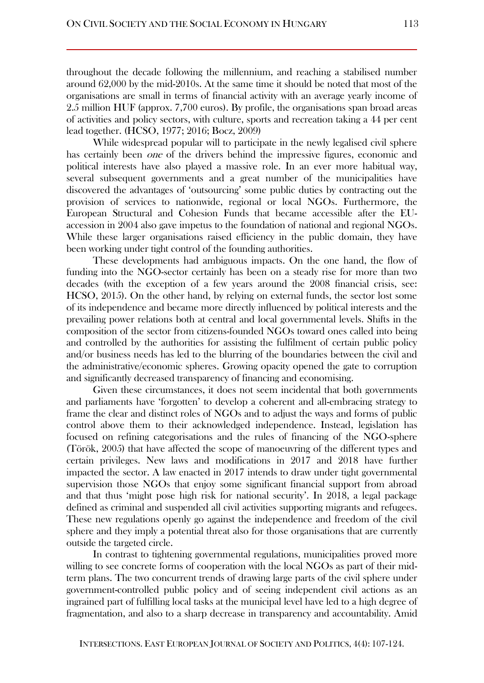throughout the decade following the millennium, and reaching a stabilised number around 62,000 by the mid-2010s. At the same time it should be noted that most of the organisations are small in terms of financial activity with an average yearly income of 2.5 million HUF (approx. 7,700 euros). By profile, the organisations span broad areas of activities and policy sectors, with culture, sports and recreation taking a 44 per cent lead together. (HCSO, 1977; 2016; Bocz, 2009)

While widespread popular will to participate in the newly legalised civil sphere has certainly been *one* of the drivers behind the impressive figures, economic and political interests have also played a massive role. In an ever more habitual way, several subsequent governments and a great number of the municipalities have discovered the advantages of 'outsourcing' some public duties by contracting out the provision of services to nationwide, regional or local NGOs. Furthermore, the European Structural and Cohesion Funds that became accessible after the EUaccession in 2004 also gave impetus to the foundation of national and regional NGOs. While these larger organisations raised efficiency in the public domain, they have been working under tight control of the founding authorities.

These developments had ambiguous impacts. On the one hand, the flow of funding into the NGO-sector certainly has been on a steady rise for more than two decades (with the exception of a few years around the 2008 financial crisis, see: HCSO, 2015). On the other hand, by relying on external funds, the sector lost some of its independence and became more directly influenced by political interests and the prevailing power relations both at central and local governmental levels. Shifts in the composition of the sector from citizens-founded NGOs toward ones called into being and controlled by the authorities for assisting the fulfilment of certain public policy and/or business needs has led to the blurring of the boundaries between the civil and the administrative/economic spheres. Growing opacity opened the gate to corruption and significantly decreased transparency of financing and economising.

Given these circumstances, it does not seem incidental that both governments and parliaments have 'forgotten' to develop a coherent and all-embracing strategy to frame the clear and distinct roles of NGOs and to adjust the ways and forms of public control above them to their acknowledged independence. Instead, legislation has focused on refining categorisations and the rules of financing of the NGO-sphere (Török, 2005) that have affected the scope of manoeuvring of the different types and certain privileges. New laws and modifications in 2017 and 2018 have further impacted the sector. A law enacted in 2017 intends to draw under tight governmental supervision those NGOs that enjoy some significant financial support from abroad and that thus 'might pose high risk for national security'. In 2018, a legal package defined as criminal and suspended all civil activities supporting migrants and refugees. These new regulations openly go against the independence and freedom of the civil sphere and they imply a potential threat also for those organisations that are currently outside the targeted circle.

In contrast to tightening governmental regulations, municipalities proved more willing to see concrete forms of cooperation with the local NGOs as part of their midterm plans. The two concurrent trends of drawing large parts of the civil sphere under government-controlled public policy and of seeing independent civil actions as an ingrained part of fulfilling local tasks at the municipal level have led to a high degree of fragmentation, and also to a sharp decrease in transparency and accountability. Amid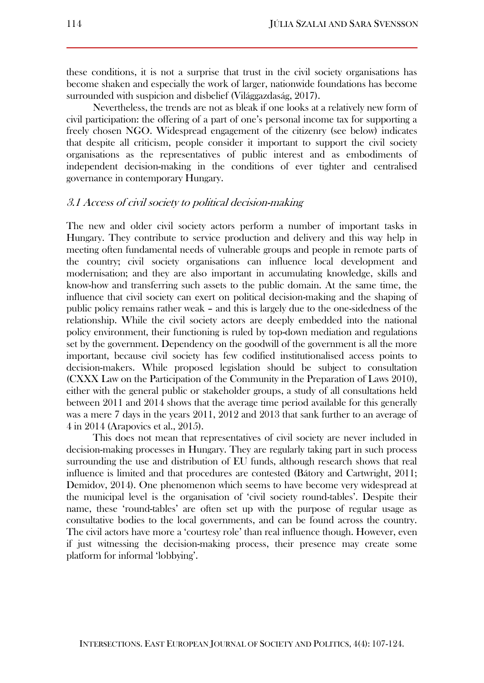these conditions, it is not a surprise that trust in the civil society organisations has become shaken and especially the work of larger, nationwide foundations has become surrounded with suspicion and disbelief (Világgazdaság, 2017).

Nevertheless, the trends are not as bleak if one looks at a relatively new form of civil participation: the offering of a part of one's personal income tax for supporting a freely chosen NGO. Widespread engagement of the citizenry (see below) indicates that despite all criticism, people consider it important to support the civil society organisations as the representatives of public interest and as embodiments of independent decision-making in the conditions of ever tighter and centralised governance in contemporary Hungary.

#### 3.1 Access of civil society to political decision-making

The new and older civil society actors perform a number of important tasks in Hungary. They contribute to service production and delivery and this way help in meeting often fundamental needs of vulnerable groups and people in remote parts of the country; civil society organisations can influence local development and modernisation; and they are also important in accumulating knowledge, skills and know-how and transferring such assets to the public domain. At the same time, the influence that civil society can exert on political decision-making and the shaping of public policy remains rather weak – and this is largely due to the one-sidedness of the relationship. While the civil society actors are deeply embedded into the national policy environment, their functioning is ruled by top-down mediation and regulations set by the government. Dependency on the goodwill of the government is all the more important, because civil society has few codified institutionalised access points to decision-makers. While proposed legislation should be subject to consultation (CXXX Law on the Participation of the Community in the Preparation of Laws 2010), either with the general public or stakeholder groups, a study of all consultations held between 2011 and 2014 shows that the average time period available for this generally was a mere 7 days in the years 2011, 2012 and 2013 that sank further to an average of 4 in 2014 (Arapovics et al., 2015).

This does not mean that representatives of civil society are never included in decision-making processes in Hungary. They are regularly taking part in such process surrounding the use and distribution of EU funds, although research shows that real influence is limited and that procedures are contested (Bátory and Cartwright, 2011; Demidov, 2014). One phenomenon which seems to have become very widespread at the municipal level is the organisation of 'civil society round-tables'. Despite their name, these 'round-tables' are often set up with the purpose of regular usage as consultative bodies to the local governments, and can be found across the country. The civil actors have more a 'courtesy role' than real influence though. However, even if just witnessing the decision-making process, their presence may create some platform for informal 'lobbying'.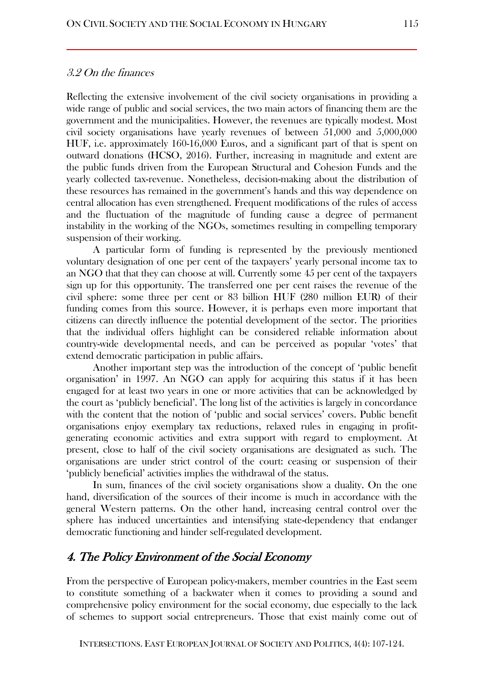#### 3.2 On the finances

Reflecting the extensive involvement of the civil society organisations in providing a wide range of public and social services, the two main actors of financing them are the government and the municipalities. However, the revenues are typically modest. Most civil society organisations have yearly revenues of between 51,000 and 5,000,000 HUF, i.e. approximately 160-16,000 Euros, and a significant part of that is spent on outward donations (HCSO, 2016). Further, increasing in magnitude and extent are the public funds driven from the European Structural and Cohesion Funds and the yearly collected tax-revenue. Nonetheless, decision-making about the distribution of these resources has remained in the government's hands and this way dependence on central allocation has even strengthened. Frequent modifications of the rules of access and the fluctuation of the magnitude of funding cause a degree of permanent instability in the working of the NGOs, sometimes resulting in compelling temporary suspension of their working.

A particular form of funding is represented by the previously mentioned voluntary designation of one per cent of the taxpayers' yearly personal income tax to an NGO that that they can choose at will. Currently some 45 per cent of the taxpayers sign up for this opportunity. The transferred one per cent raises the revenue of the civil sphere: some three per cent or 83 billion HUF (280 million EUR) of their funding comes from this source. However, it is perhaps even more important that citizens can directly influence the potential development of the sector. The priorities that the individual offers highlight can be considered reliable information about country-wide developmental needs, and can be perceived as popular 'votes' that extend democratic participation in public affairs.

Another important step was the introduction of the concept of 'public benefit organisation' in 1997. An NGO can apply for acquiring this status if it has been engaged for at least two years in one or more activities that can be acknowledged by the court as 'publicly beneficial'. The long list of the activities is largely in concordance with the content that the notion of 'public and social services' covers. Public benefit organisations enjoy exemplary tax reductions, relaxed rules in engaging in profitgenerating economic activities and extra support with regard to employment. At present, close to half of the civil society organisations are designated as such. The organisations are under strict control of the court: ceasing or suspension of their 'publicly beneficial' activities implies the withdrawal of the status.

In sum, finances of the civil society organisations show a duality. On the one hand, diversification of the sources of their income is much in accordance with the general Western patterns. On the other hand, increasing central control over the sphere has induced uncertainties and intensifying state-dependency that endanger democratic functioning and hinder self-regulated development.

## 4. The Policy Environment of the Social Economy

From the perspective of European policy-makers, member countries in the East seem to constitute something of a backwater when it comes to providing a sound and comprehensive policy environment for the social economy, due especially to the lack of schemes to support social entrepreneurs. Those that exist mainly come out of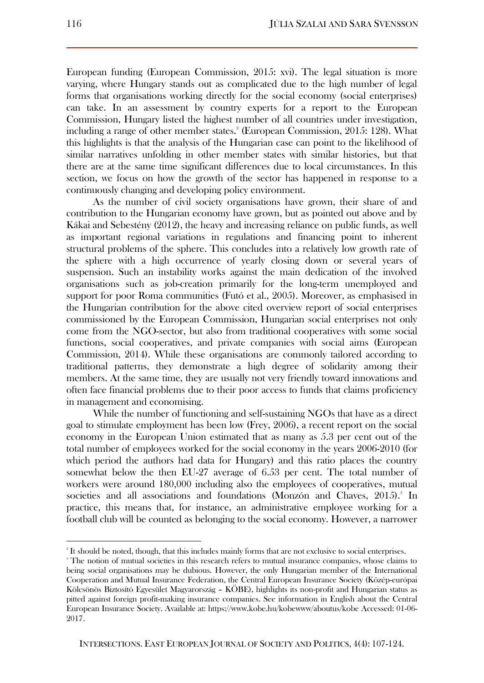European funding (European Commission, 2015: xvi). The legal situation is more varying, where Hungary stands out as complicated due to the high number of legal forms that organisations working directly for the social economy (social enterprises) can take. In an assessment by country experts for a report to the European Commission, Hungary listed the highest number of all countries under investigation, including a range of other member states.<sup>2</sup> (European Commission, 2015: 128). What this highlights is that the analysis of the Hungarian case can point to the likelihood of similar narratives unfolding in other member states with similar histories, but that there are at the same time significant differences due to local circumstances. In this section, we focus on how the growth of the sector has happened in response to a continuously changing and developing policy environment.

As the number of civil society organisations have grown, their share of and contribution to the Hungarian economy have grown, but as pointed out above and by Kákai and Sebestény (2012), the heavy and increasing reliance on public funds, as well as important regional variations in regulations and financing point to inherent structural problems of the sphere. This concludes into a relatively low growth rate of the sphere with a high occurrence of yearly closing down or several years of suspension. Such an instability works against the main dedication of the involved organisations such as job-creation primarily for the long-term unemployed and support for poor Roma communities (Futó et al., 2005). Moreover, as emphasised in the Hungarian contribution for the above cited overview report of social enterprises commissioned by the European Commission, Hungarian social enterprises not only come from the NGO-sector, but also from traditional cooperatives with some social functions, social cooperatives, and private companies with social aims (European Commission, 2014). While these organisations are commonly tailored according to traditional patterns, they demonstrate a high degree of solidarity among their members. At the same time, they are usually not very friendly toward innovations and often face financial problems due to their poor access to funds that claims proficiency in management and economising.

While the number of functioning and self-sustaining NGOs that have as a direct goal to stimulate employment has been low (Frey, 2006), a recent report on the social economy in the European Union estimated that as many as 5.3 per cent out of the total number of employees worked for the social economy in the years 2006-2010 (for which period the authors had data for Hungary) and this ratio places the country somewhat below the then EU-27 average of 6.53 per cent. The total number of workers were around 180,000 including also the employees of cooperatives, mutual societies and all associations and foundations (Monzón and Chaves, 2015).<sup>3</sup> In practice, this means that, for instance, an administrative employee working for a football club will be counted as belonging to the social economy. However, a narrower

 $\overline{\phantom{a}}$ 

<sup>2</sup> It should be noted, though, that this includes mainly forms that are not exclusive to social enterprises.

<sup>&</sup>lt;sup>3</sup> The notion of mutual societies in this research refers to mutual insurance companies, whose claims to being social organisations may be dubious. However, the only Hungarian member of the International Cooperation and Mutual Insurance Federation, the Central European Insurance Society (Közép-európai Kölcsönös Biztosító Egyesület Magyarország – KÖBE), highlights its non-profit and Hungarian status as pitted against foreign profit-making insurance companies. See information in English about the Central European Insurance Society. Available at: https://www.kobe.hu/kobewww/aboutus/kobe Accessed: 01-06- 2017.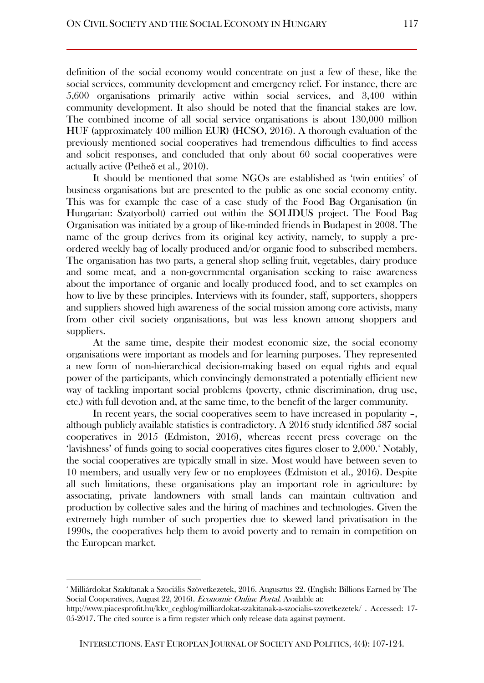definition of the social economy would concentrate on just a few of these, like the social services, community development and emergency relief. For instance, there are 5,600 organisations primarily active within social services, and 3,400 within community development. It also should be noted that the financial stakes are low. The combined income of all social service organisations is about 130,000 million HUF (approximately 400 million EUR) (HCSO, 2016). A thorough evaluation of the previously mentioned social cooperatives had tremendous difficulties to find access and solicit responses, and concluded that only about 60 social cooperatives were actually active (Petheő et al., 2010).

It should be mentioned that some NGOs are established as 'twin entities' of business organisations but are presented to the public as one social economy entity. This was for example the case of a case study of the Food Bag Organisation (in Hungarian: Szatyorbolt) carried out within the SOLIDUS project. The Food Bag Organisation was initiated by a group of like-minded friends in Budapest in 2008. The name of the group derives from its original key activity, namely, to supply a preordered weekly bag of locally produced and/or organic food to subscribed members. The organisation has two parts, a general shop selling fruit, vegetables, dairy produce and some meat, and a non-governmental organisation seeking to raise awareness about the importance of organic and locally produced food, and to set examples on how to live by these principles. Interviews with its founder, staff, supporters, shoppers and suppliers showed high awareness of the social mission among core activists, many from other civil society organisations, but was less known among shoppers and suppliers.

At the same time, despite their modest economic size, the social economy organisations were important as models and for learning purposes. They represented a new form of non-hierarchical decision-making based on equal rights and equal power of the participants, which convincingly demonstrated a potentially efficient new way of tackling important social problems (poverty, ethnic discrimination, drug use, etc.) with full devotion and, at the same time, to the benefit of the larger community.

In recent years, the social cooperatives seem to have increased in popularity –, although publicly available statistics is contradictory. A 2016 study identified 587 social cooperatives in 2015 (Edmiston, 2016), whereas recent press coverage on the 'lavishness' of funds going to social cooperatives cites figures closer to 2,000.<sup>4</sup> Notably, the social cooperatives are typically small in size. Most would have between seven to 10 members, and usually very few or no employees (Edmiston et al., 2016). Despite all such limitations, these organisations play an important role in agriculture: by associating, private landowners with small lands can maintain cultivation and production by collective sales and the hiring of machines and technologies. Given the extremely high number of such properties due to skewed land privatisation in the 1990s, the cooperatives help them to avoid poverty and to remain in competition on the European market.

 $\overline{a}$ 

<sup>4</sup> Milliárdokat Szakítanak a Szociális Szövetkezetek, 2016. Augusztus 22. (English: Billions Earned by The Social Cooperatives, August 22, 2016). Economic Online Portal. Available at:

[http://www.piacesprofit.hu/kkv\\_cegblog/milliardokat-szakitanak-a-szocialis-szovetkezetek/](http://www.piacesprofit.hu/kkv_cegblog/milliardokat-szakitanak-a-szocialis-szovetkezetek/) . Accessed: 17- 05-2017. The cited source is a firm register which only release data against payment.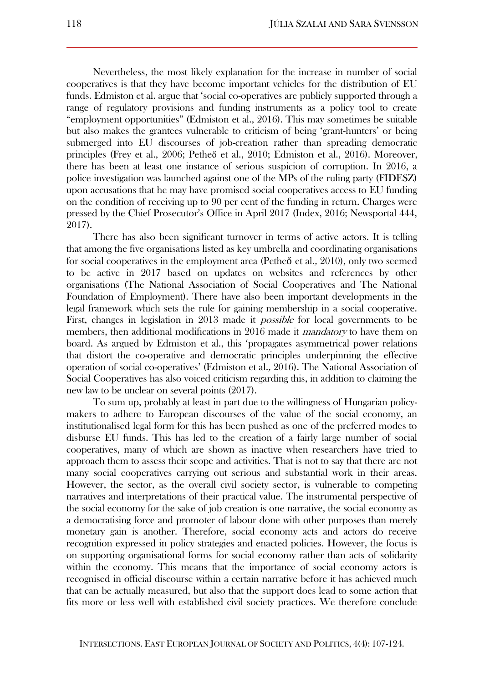Nevertheless, the most likely explanation for the increase in number of social cooperatives is that they have become important vehicles for the distribution of EU funds. Edmiston et al. argue that 'social co-operatives are publicly supported through a range of regulatory provisions and funding instruments as a policy tool to create "employment opportunities" (Edmiston et al., 2016). This may sometimes be suitable but also makes the grantees vulnerable to criticism of being 'grant-hunters' or being submerged into EU discourses of job-creation rather than spreading democratic principles (Frey et al., 2006; Petheő et al., 2010; Edmiston et al., 2016). Moreover, there has been at least one instance of serious suspicion of corruption. In 2016, a police investigation was launched against one of the MPs of the ruling party (FIDESZ) upon accusations that he may have promised social cooperatives access to EU funding on the condition of receiving up to 90 per cent of the funding in return. Charges were pressed by the Chief Prosecutor's Office in April 2017 (Index, 2016; Newsportal 444, 2017).

There has also been significant turnover in terms of active actors. It is telling that among the five organisations listed as key umbrella and coordinating organisations for social cooperatives in the employment area (Petheő et al., 2010), only two seemed to be active in 2017 based on updates on websites and references by other organisations (The National Association of Social Cooperatives and The National Foundation of Employment). There have also been important developments in the legal framework which sets the rule for gaining membership in a social cooperative. First, changes in legislation in 2013 made it *possible* for local governments to be members, then additional modifications in 2016 made it *mandatory* to have them on board. As argued by Edmiston et al., this 'propagates asymmetrical power relations that distort the co-operative and democratic principles underpinning the effective operation of social co-operatives' (Edmiston et al., 2016). The National Association of Social Cooperatives has also voiced criticism regarding this, in addition to claiming the new law to be unclear on several points (2017).

To sum up, probably at least in part due to the willingness of Hungarian policymakers to adhere to European discourses of the value of the social economy, an institutionalised legal form for this has been pushed as one of the preferred modes to disburse EU funds. This has led to the creation of a fairly large number of social cooperatives, many of which are shown as inactive when researchers have tried to approach them to assess their scope and activities. That is not to say that there are not many social cooperatives carrying out serious and substantial work in their areas. However, the sector, as the overall civil society sector, is vulnerable to competing narratives and interpretations of their practical value. The instrumental perspective of the social economy for the sake of job creation is one narrative, the social economy as a democratising force and promoter of labour done with other purposes than merely monetary gain is another. Therefore, social economy acts and actors do receive recognition expressed in policy strategies and enacted policies. However, the focus is on supporting organisational forms for social economy rather than acts of solidarity within the economy. This means that the importance of social economy actors is recognised in official discourse within a certain narrative before it has achieved much that can be actually measured, but also that the support does lead to some action that fits more or less well with established civil society practices. We therefore conclude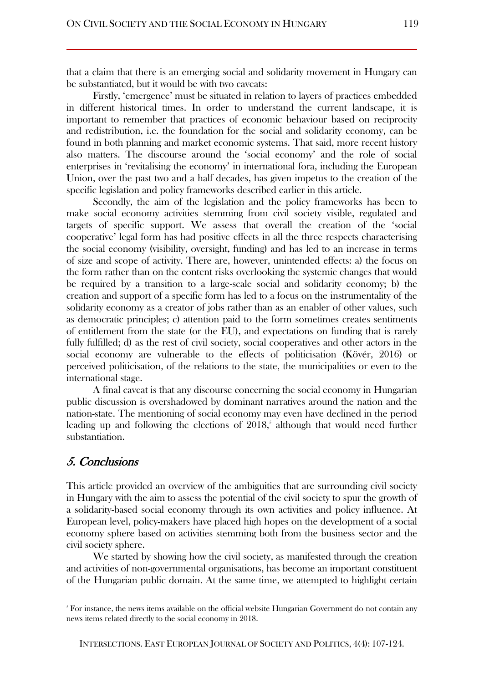that a claim that there is an emerging social and solidarity movement in Hungary can be substantiated, but it would be with two caveats:

Firstly, 'emergence' must be situated in relation to layers of practices embedded in different historical times. In order to understand the current landscape, it is important to remember that practices of economic behaviour based on reciprocity and redistribution, i.e. the foundation for the social and solidarity economy, can be found in both planning and market economic systems. That said, more recent history also matters. The discourse around the 'social economy' and the role of social enterprises in 'revitalising the economy' in international fora, including the European Union, over the past two and a half decades, has given impetus to the creation of the specific legislation and policy frameworks described earlier in this article.

Secondly, the aim of the legislation and the policy frameworks has been to make social economy activities stemming from civil society visible, regulated and targets of specific support. We assess that overall the creation of the 'social cooperative' legal form has had positive effects in all the three respects characterising the social economy (visibility, oversight, funding) and has led to an increase in terms of size and scope of activity. There are, however, unintended effects: a) the focus on the form rather than on the content risks overlooking the systemic changes that would be required by a transition to a large-scale social and solidarity economy; b) the creation and support of a specific form has led to a focus on the instrumentality of the solidarity economy as a creator of jobs rather than as an enabler of other values, such as democratic principles; c) attention paid to the form sometimes creates sentiments of entitlement from the state (or the EU), and expectations on funding that is rarely fully fulfilled; d) as the rest of civil society, social cooperatives and other actors in the social economy are vulnerable to the effects of politicisation (Kövér, 2016) or perceived politicisation, of the relations to the state, the municipalities or even to the international stage.

A final caveat is that any discourse concerning the social economy in Hungarian public discussion is overshadowed by dominant narratives around the nation and the nation-state. The mentioning of social economy may even have declined in the period leading up and following the elections of  $2018$ , although that would need further substantiation.

# 5. Conclusions

 $\overline{a}$ 

This article provided an overview of the ambiguities that are surrounding civil society in Hungary with the aim to assess the potential of the civil society to spur the growth of a solidarity-based social economy through its own activities and policy influence. At European level, policy-makers have placed high hopes on the development of a social economy sphere based on activities stemming both from the business sector and the civil society sphere.

We started by showing how the civil society, as manifested through the creation and activities of non-governmental organisations, has become an important constituent of the Hungarian public domain. At the same time, we attempted to highlight certain

<sup>5</sup> For instance, the news items available on the official website Hungarian Government do not contain any news items related directly to the social economy in 2018.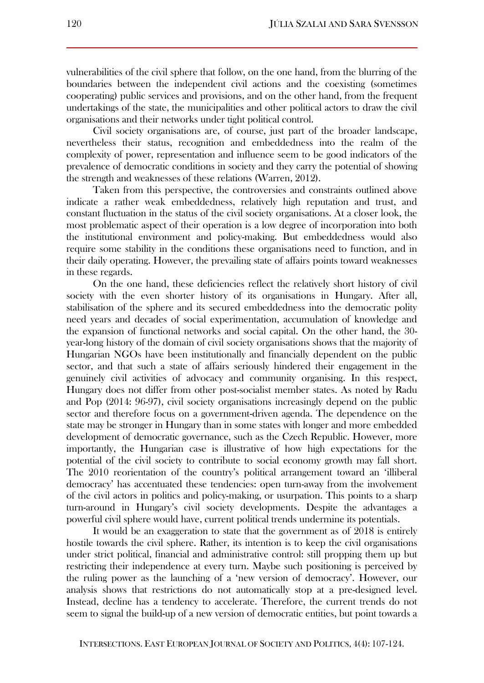vulnerabilities of the civil sphere that follow, on the one hand, from the blurring of the boundaries between the independent civil actions and the coexisting (sometimes cooperating) public services and provisions, and on the other hand, from the frequent undertakings of the state, the municipalities and other political actors to draw the civil organisations and their networks under tight political control.

Civil society organisations are, of course, just part of the broader landscape, nevertheless their status, recognition and embeddedness into the realm of the complexity of power, representation and influence seem to be good indicators of the prevalence of democratic conditions in society and they carry the potential of showing the strength and weaknesses of these relations (Warren, 2012).

Taken from this perspective, the controversies and constraints outlined above indicate a rather weak embeddedness, relatively high reputation and trust, and constant fluctuation in the status of the civil society organisations. At a closer look, the most problematic aspect of their operation is a low degree of incorporation into both the institutional environment and policy-making. But embeddedness would also require some stability in the conditions these organisations need to function, and in their daily operating. However, the prevailing state of affairs points toward weaknesses in these regards.

On the one hand, these deficiencies reflect the relatively short history of civil society with the even shorter history of its organisations in Hungary. After all, stabilisation of the sphere and its secured embeddedness into the democratic polity need years and decades of social experimentation, accumulation of knowledge and the expansion of functional networks and social capital. On the other hand, the 30 year-long history of the domain of civil society organisations shows that the majority of Hungarian NGOs have been institutionally and financially dependent on the public sector, and that such a state of affairs seriously hindered their engagement in the genuinely civil activities of advocacy and community organising. In this respect, Hungary does not differ from other post-socialist member states. As noted by Radu and Pop (2014: 96-97), civil society organisations increasingly depend on the public sector and therefore focus on a government-driven agenda. The dependence on the state may be stronger in Hungary than in some states with longer and more embedded development of democratic governance, such as the Czech Republic. However, more importantly, the Hungarian case is illustrative of how high expectations for the potential of the civil society to contribute to social economy growth may fall short. The 2010 reorientation of the country's political arrangement toward an 'illiberal democracy' has accentuated these tendencies: open turn-away from the involvement of the civil actors in politics and policy-making, or usurpation. This points to a sharp turn-around in Hungary's civil society developments. Despite the advantages a powerful civil sphere would have, current political trends undermine its potentials.

It would be an exaggeration to state that the government as of 2018 is entirely hostile towards the civil sphere. Rather, its intention is to keep the civil organisations under strict political, financial and administrative control: still propping them up but restricting their independence at every turn. Maybe such positioning is perceived by the ruling power as the launching of a 'new version of democracy'. However, our analysis shows that restrictions do not automatically stop at a pre-designed level. Instead, decline has a tendency to accelerate. Therefore, the current trends do not seem to signal the build-up of a new version of democratic entities, but point towards a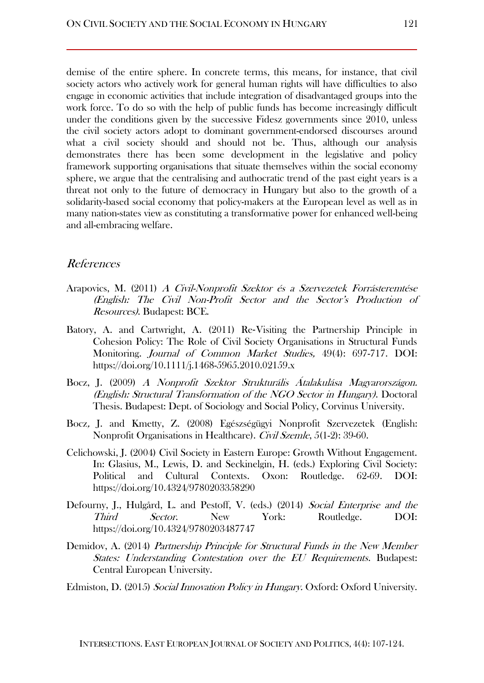demise of the entire sphere. In concrete terms, this means, for instance, that civil society actors who actively work for general human rights will have difficulties to also engage in economic activities that include integration of disadvantaged groups into the work force. To do so with the help of public funds has become increasingly difficult under the conditions given by the successive Fidesz governments since 2010, unless the civil society actors adopt to dominant government-endorsed discourses around what a civil society should and should not be. Thus, although our analysis demonstrates there has been some development in the legislative and policy framework supporting organisations that situate themselves within the social economy sphere, we argue that the centralising and authocratic trend of the past eight years is a threat not only to the future of democracy in Hungary but also to the growth of a solidarity-based social economy that policy-makers at the European level as well as in many nation-states view as constituting a transformative power for enhanced well-being and all-embracing welfare.

## References

- Arapovics, M. (2011) A Civil-Nonprofit Szektor és a Szervezetek Forrásteremtése (English: The Civil Non-Profit Sector and the Sector's Production of Resources). Budapest: BCE.
- Batory, A. and Cartwright, A. (2011) Re‐Visiting the Partnership Principle in Cohesion Policy: The Role of Civil Society Organisations in Structural Funds Monitoring. Journal of Common Market Studies, 49(4): 697-717. DOI: https://doi.org/10.1111/j.1468-5965.2010.02159.x
- Bocz, J. (2009) A Nonprofit Szektor Strukturális Átalakulása Magyarországon. (English: Structural Transformation of the NGO Sector in Hungary). Doctoral Thesis. Budapest: Dept. of Sociology and Social Policy, Corvinus University.
- Bocz, J. and Kmetty, Z. (2008) Egészségügyi Nonprofit Szervezetek (English: Nonprofit Organisations in Healthcare). Civil Szemle, 5(1-2): 39-60.
- Celichowski, J. (2004) Civil Society in Eastern Europe: Growth Without Engagement. In: Glasius, M., Lewis, D. and Seckinelgin, H. (eds.) Exploring Civil Society: Political and Cultural Contexts. Oxon: Routledge. 62-69. DOI: https://doi.org/10.4324/9780203358290
- Defourny, J., Hulgård, L. and Pestoff, V. (eds.) (2014) Social Enterprise and the Third Sector. New York: Routledge. DOI: https://doi.org/10.4324/9780203487747
- Demidov, A. (2014) Partnership Principle for Structural Funds in the New Member States: Understanding Contestation over the EU Requirements. Budapest: Central European University.
- Edmiston, D. (2015) Social Innovation Policy in Hungary. Oxford: Oxford University.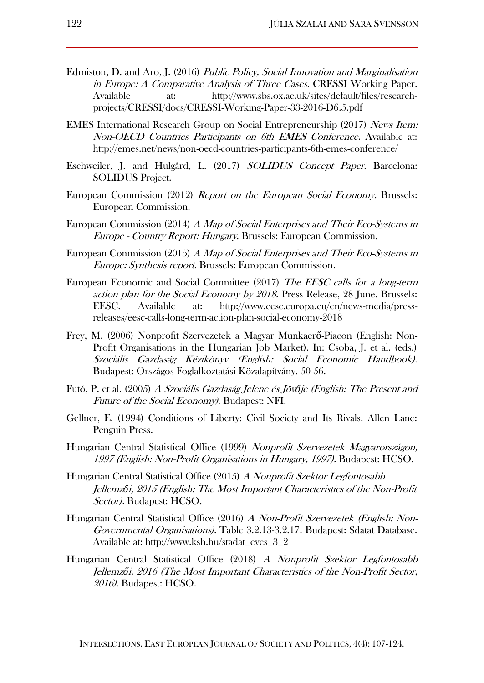- Edmiston, D. and Aro, J. (2016) Public Policy, Social Innovation and Marginalisation in Europe: A Comparative Analysis of Three Cases. CRESSI Working Paper. Available at: http://www.sbs.ox.ac.uk/sites/default/files/researchprojects/CRESSI/docs/CRESSI-Working-Paper-33-2016-D6.5.pdf
- EMES International Research Group on Social Entrepreneurship (2017) News Item: Non-OECD Countries Participants on 6th EMES Conference. Available at: http://emes.net/news/non-oecd-countries-participants-6th-emes-conference/
- Eschweiler, J. and Hulgård, L. (2017) SOLIDUS Concept Paper. Barcelona: SOLIDUS Project.
- European Commission (2012) Report on the European Social Economy. Brussels: European Commission.
- European Commission (2014) A Map of Social Enterprises and Their Eco-Systems in Europe - Country Report: Hungary. Brussels: European Commission.
- European Commission (2015) A Map of Social Enterprises and Their Eco-Systems in Europe: Synthesis report. Brussels: European Commission.
- European Economic and Social Committee (2017) The EESC calls for a long-term action plan for the Social Economy by 2018. Press Release, 28 June. Brussels: EESC. Available at: http://www.eesc.europa.eu/en/news-media/pressreleases/eesc-calls-long-term-action-plan-social-economy-2018
- Frey, M. (2006) Nonprofit Szervezetek a Magyar Munkaerő-Piacon (English: Non-Profit Organisations in the Hungarian Job Market). In: Csoba, J. et al. (eds.) Szociális Gazdaság Kézikönyv (English: Social Economic Handbook). Budapest: Országos Foglalkoztatási Közalapítvány. 50-56.
- Futó, P. et al. (2005) A Szociális Gazdaság Jelene és Jöv*ő*je (English: The Present and Future of the Social Economy). Budapest: NFI.
- Gellner, E. (1994) Conditions of Liberty: Civil Society and Its Rivals. Allen Lane: Penguin Press.
- Hungarian Central Statistical Office (1999) Nonprofit Szervezetek Magyarországon, 1997 (English: Non-Profit Organisations in Hungary, 1997). Budapest: HCSO.
- Hungarian Central Statistical Office (2015) A Nonprofit Szektor Legfontosabb Jellemz*ő*i, 2015 (English: The Most Important Characteristics of the Non-Profit Sector). Budapest: HCSO.
- Hungarian Central Statistical Office (2016) A Non-Profit Szervezetek (English: Non-Governmental Organisations). Table 3.2.13-3.2.17. Budapest: Sdatat Database. Available at: http://www.ksh.hu/stadat\_eves\_3\_2
- Hungarian Central Statistical Office (2018) A Nonprofit Szektor Legfontosabb Jellemz*ő*i, 2016 (The Most Important Characteristics of the Non-Profit Sector, 2016). Budapest: HCSO.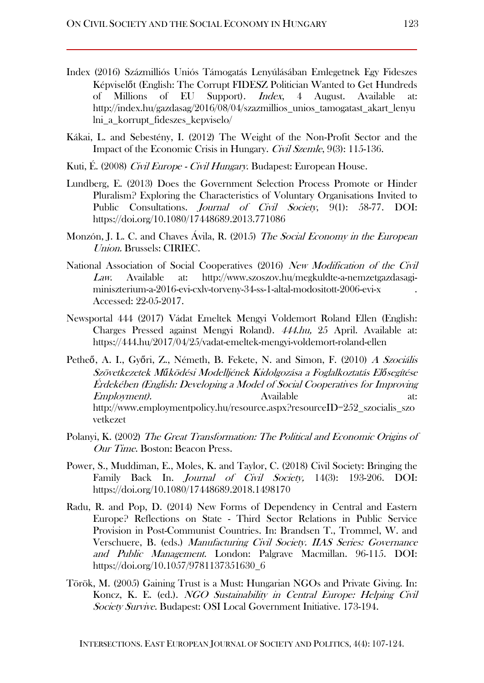- Index (2016) Százmilliós Uniós Támogatás Lenyúlásában Emlegetnek Egy Fideszes Képviselőt (English: The Corrupt FIDESZ Politician Wanted to Get Hundreds of Millions of EU Support). Index, 4 August. Available at: [http://index.hu/gazdasag/2016/08/04/szazmillios\\_unios\\_tamogatast\\_akart\\_lenyu](http://index.hu/gazdasag/2016/08/04/szazmillios_unios_tamogatast_akart_lenyulni_a_korrupt_fideszes_kepviselo/) [lni\\_a\\_korrupt\\_fideszes\\_kepviselo/](http://index.hu/gazdasag/2016/08/04/szazmillios_unios_tamogatast_akart_lenyulni_a_korrupt_fideszes_kepviselo/)
- Kákai, L. and Sebestény, I. (2012) The Weight of the Non-Profit Sector and the Impact of the Economic Crisis in Hungary. Civil Szemle, 9(3): 115-136.
- Kuti, É. (2008) *Civil Europe Civil Hungary*. Budapest: European House.
- Lundberg, E. (2013) Does the Government Selection Process Promote or Hinder Pluralism? Exploring the Characteristics of Voluntary Organisations Invited to Public Consultations. Journal of Civil Society, 9(1): 58-77. DOI: https://doi.org/10.1080/17448689.2013.771086
- Monzón, J. L. C. and Chaves Ávila, R. (2015) The Social Economy in the European Union. Brussels: CIRIEC.
- National Association of Social Cooperatives (2016) New Modification of the Civil Law. Available at: http://www.szoszov.hu/megkuldte-a-nemzetgazdasagiminiszterium-a-2016-evi-cxlv-torveny-34-ss-1-altal-modositott-2006-evi-x . Accessed: 22-05-2017.
- Newsportal 444 (2017) Vádat Emeltek Mengyi Voldemort Roland Ellen (English: Charges Pressed against Mengyi Roland). 444.hu, 25 April. Available at: <https://444.hu/2017/04/25/vadat-emeltek-mengyi-voldemort-roland-ellen>
- Petheő, A. I., Győri, Z., Németh, B. Fekete, N. and Simon, F. (2010) A Szociális Szövetkezetek M*ű*ködési Modelljének Kidolgozása a Foglalkoztatás El*ő*segítése Érdekében (English: Developing a Model of Social Cooperatives for Improving Employment). Available http://www.employmentpolicy.hu/resource.aspx?resourceID=252 szocialis szo vetkezet
- Polanyi, K. (2002) The Great Transformation: The Political and Economic Origins of Our Time. Boston: Beacon Press.
- Power, S., Muddiman, E., Moles, K. and Taylor, C. (2018) Civil Society: Bringing the Family Back In. Journal of Civil Society, 14(3): 193-206. DOI: https://doi.org/10.1080/17448689.2018.1498170
- Radu, R. and Pop, D. (2014) New Forms of Dependency in Central and Eastern Europe? Reflections on State - Third Sector Relations in Public Service Provision in Post-Communist Countries. In: Brandsen T., Trommel, W. and Verschuere, B. (eds.) Manufacturing Civil Society. IIAS Series: Governance and Public Management. London: Palgrave Macmillan. 96-115. DOI: https://doi.org/10.1057/9781137351630\_6
- Török, M. (2005) Gaining Trust is a Must: Hungarian NGOs and Private Giving. In: Koncz, K. E. (ed.). NGO Sustainability in Central Europe: Helping Civil Society Survive. Budapest: OSI Local Government Initiative. 173-194.